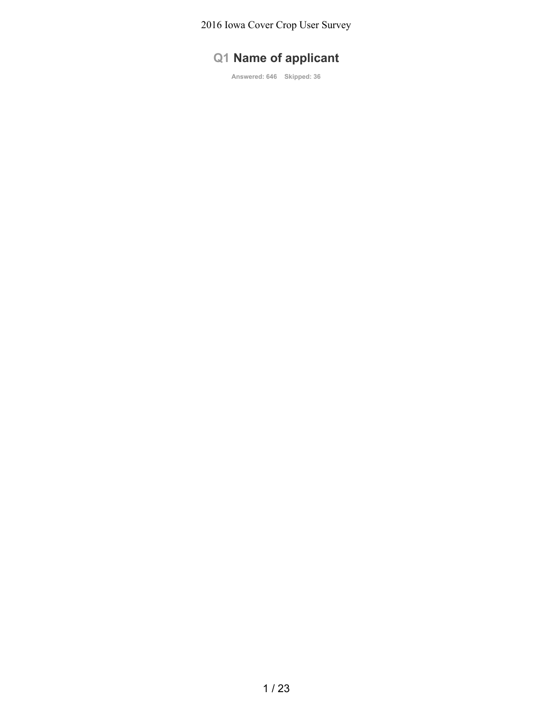# **Q1 Name of applicant**

**Answered: 646 Skipped: 36**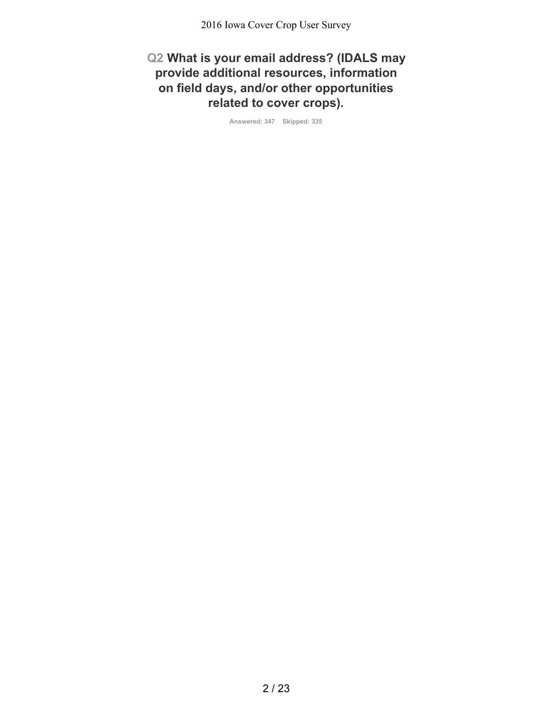**Q2 What is your email address? (IDALS may provide additional resources, information on field days, and/or other opportunities related to cover crops).**

**Answered: 347 Skipped: 335**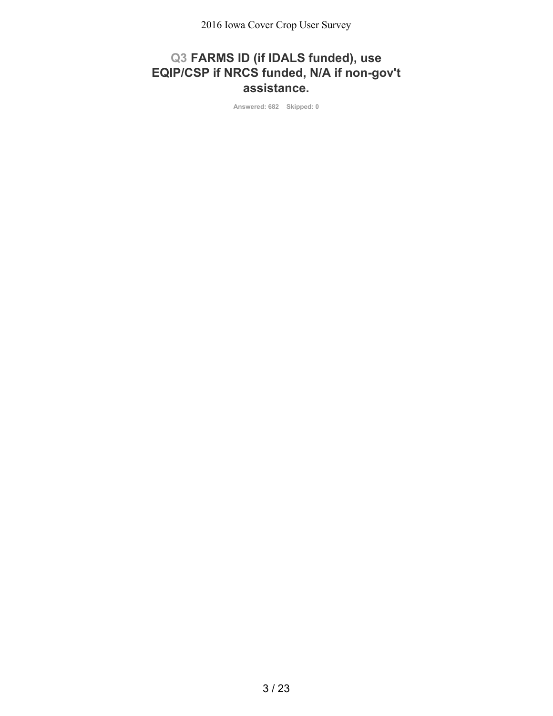# **Q3 FARMS ID (if IDALS funded), use EQIP/CSP if NRCS funded, N/A if non-gov't assistance.**

**Answered: 682 Skipped: 0**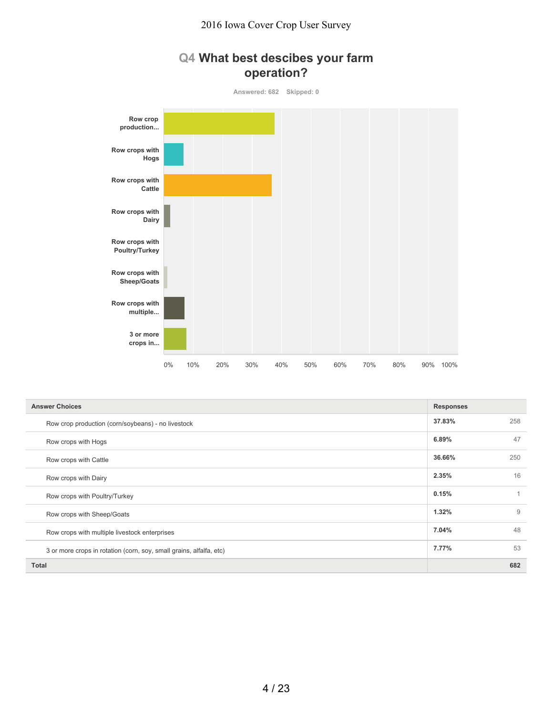



| <b>Answer Choices</b>                                               | <b>Responses</b> |                |
|---------------------------------------------------------------------|------------------|----------------|
| Row crop production (corn/soybeans) - no livestock                  | 37.83%           | 258            |
| Row crops with Hogs                                                 | 6.89%            | 47             |
| Row crops with Cattle                                               | 36.66%           | 250            |
| Row crops with Dairy                                                | 2.35%            | 16             |
| Row crops with Poultry/Turkey                                       | 0.15%            | $\overline{1}$ |
| Row crops with Sheep/Goats                                          | 1.32%            | 9              |
| Row crops with multiple livestock enterprises                       | 7.04%            | 48             |
| 3 or more crops in rotation (corn, soy, small grains, alfalfa, etc) | 7.77%            | 53             |
| <b>Total</b>                                                        |                  | 682            |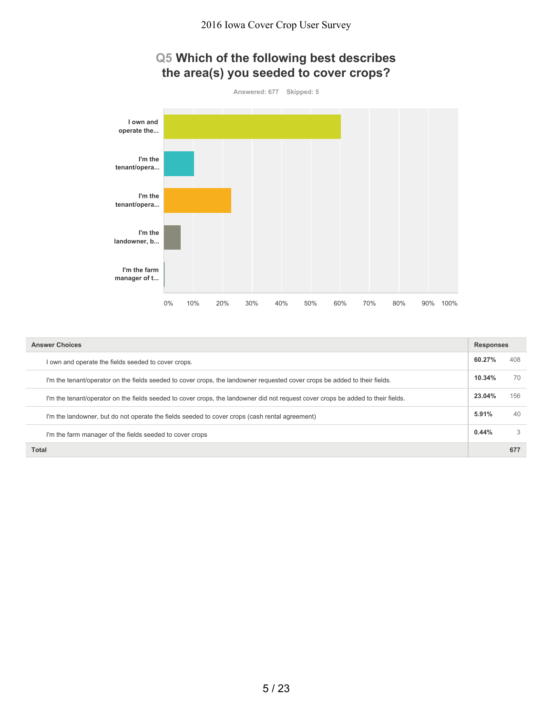# **Q5 Which of the following best describes the area(s) you seeded to cover crops?**



| <b>Answer Choices</b>                                                                                                            | <b>Responses</b> |     |
|----------------------------------------------------------------------------------------------------------------------------------|------------------|-----|
| own and operate the fields seeded to cover crops.                                                                                | 60.27%           | 408 |
| I'm the tenant/operator on the fields seeded to cover crops, the landowner requested cover crops be added to their fields.       | 10.34%           | 70  |
| I'm the tenant/operator on the fields seeded to cover crops, the landowner did not request cover crops be added to their fields. | 23.04%           | 156 |
| I'm the landowner, but do not operate the fields seeded to cover crops (cash rental agreement)                                   | 5.91%            | 40  |
| I'm the farm manager of the fields seeded to cover crops                                                                         | 0.44%            | 3   |
| Total                                                                                                                            |                  | 677 |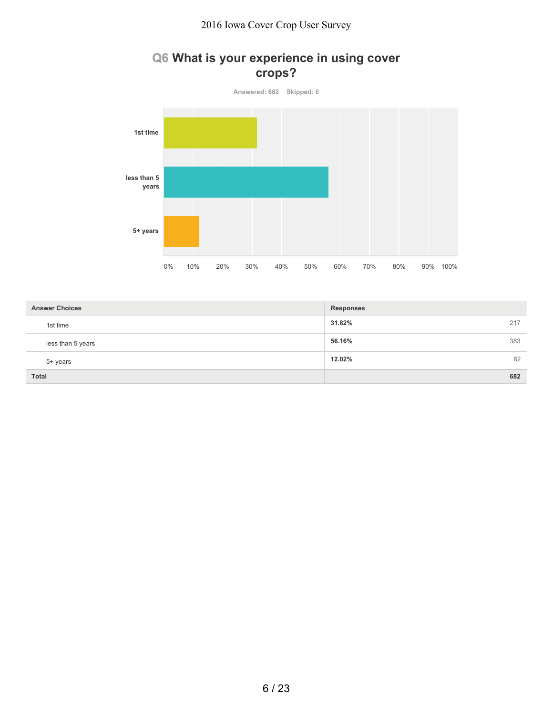# **Q6 What is your experience in using cover crops?**



| <b>Answer Choices</b> | <b>Responses</b> |
|-----------------------|------------------|
| 1st time              | 31.82%<br>217    |
| less than 5 years     | 383<br>56.16%    |
| 5+ years              | 82<br>12.02%     |
| <b>Total</b>          | 682              |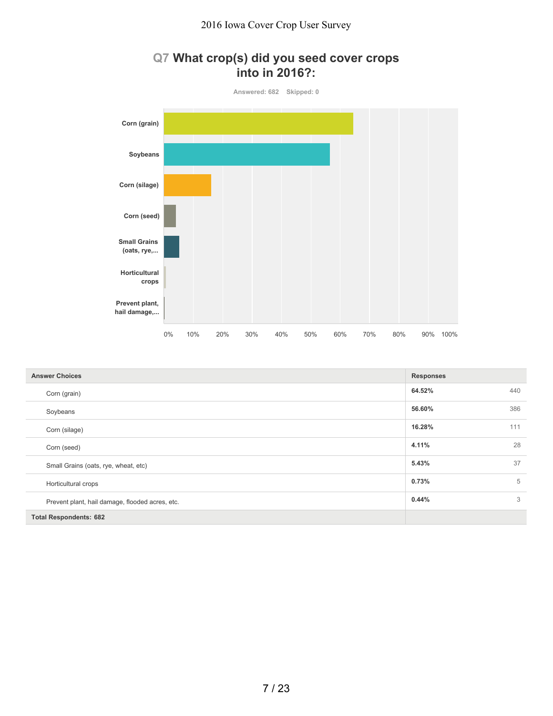# **Q7 What crop(s) did you seed cover crops into in 2016?:**



| <b>Answer Choices</b>                           | <b>Responses</b> |     |
|-------------------------------------------------|------------------|-----|
| Corn (grain)                                    | 64.52%           | 440 |
| Soybeans                                        | 56.60%           | 386 |
| Corn (silage)                                   | 16.28%           | 111 |
| Corn (seed)                                     | 4.11%            | 28  |
| Small Grains (oats, rye, wheat, etc)            | 5.43%            | 37  |
| Horticultural crops                             | 0.73%            | 5   |
| Prevent plant, hail damage, flooded acres, etc. | 0.44%            | 3   |
| <b>Total Respondents: 682</b>                   |                  |     |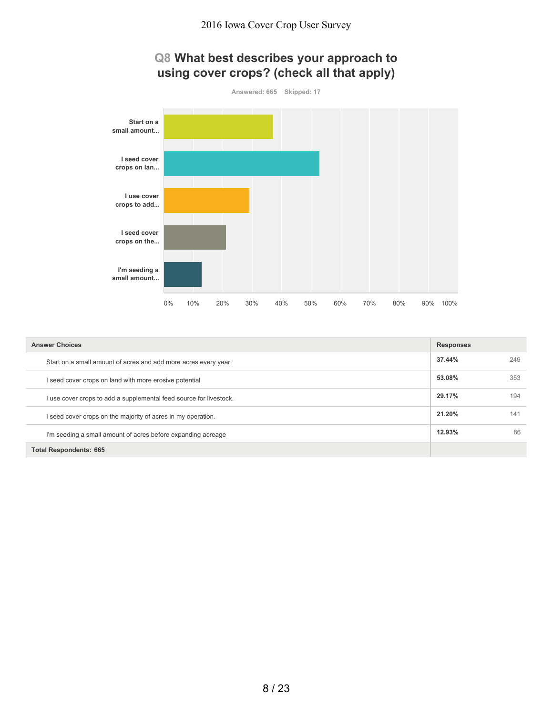



| <b>Answer Choices</b>                                              | <b>Responses</b> |     |
|--------------------------------------------------------------------|------------------|-----|
| Start on a small amount of acres and add more acres every year.    | 37.44%           | 249 |
| I seed cover crops on land with more erosive potential             | 53.08%           | 353 |
| I use cover crops to add a supplemental feed source for livestock. | 29.17%           | 194 |
| I seed cover crops on the majority of acres in my operation.       | 21.20%           | 141 |
| I'm seeding a small amount of acres before expanding acreage       | 12.93%           | 86  |
| <b>Total Respondents: 665</b>                                      |                  |     |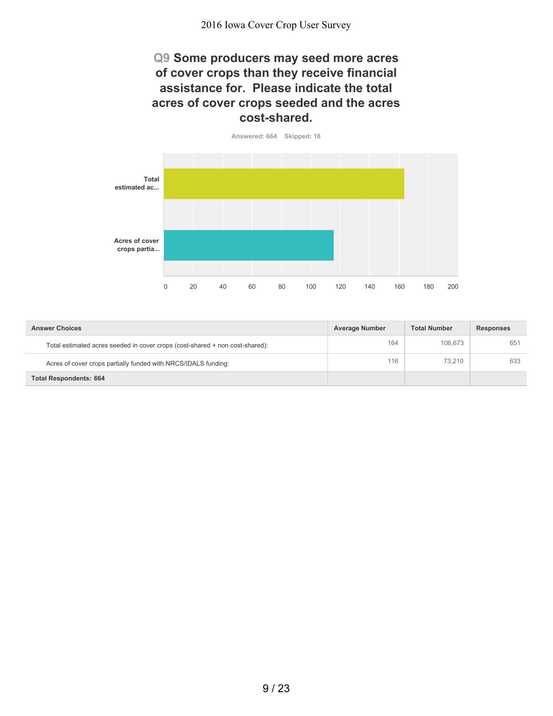### **Q9 Some producers may seed more acres of cover crops than they receive financial assistance for. Please indicate the total acres of cover crops seeded and the acres cost-shared.**



| <b>Answer Choices</b>                                                        | <b>Average Number</b> | <b>Total Number</b> | <b>Responses</b> |
|------------------------------------------------------------------------------|-----------------------|---------------------|------------------|
| Total estimated acres seeded in cover crops (cost-shared + non cost-shared): | 164                   | 106.673             | 651              |
| Acres of cover crops partially funded with NRCS/IDALS funding:               | 116                   | 73.210              | 633              |
| <b>Total Respondents: 664</b>                                                |                       |                     |                  |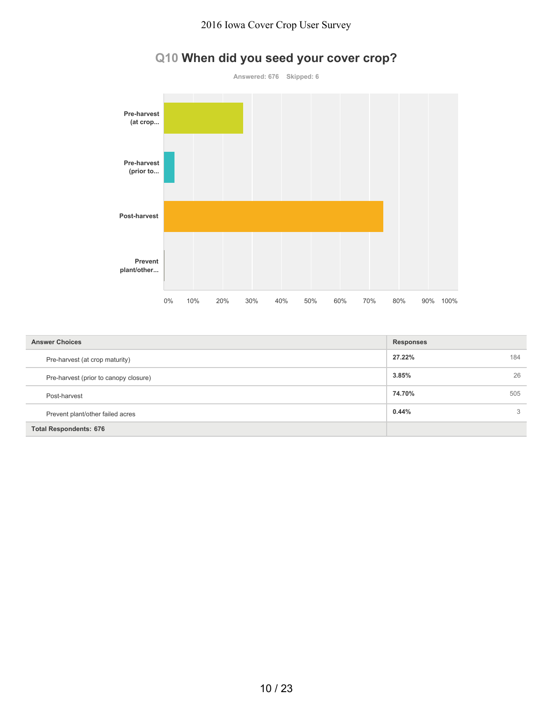

# **Q10 When did you seed your cover crop?**

| <b>Answer Choices</b>                 | <b>Responses</b> |     |
|---------------------------------------|------------------|-----|
| Pre-harvest (at crop maturity)        | 27.22%           | 184 |
| Pre-harvest (prior to canopy closure) | 3.85%            | 26  |
| Post-harvest                          | 74.70%           | 505 |
| Prevent plant/other failed acres      | 0.44%            | 3   |
| <b>Total Respondents: 676</b>         |                  |     |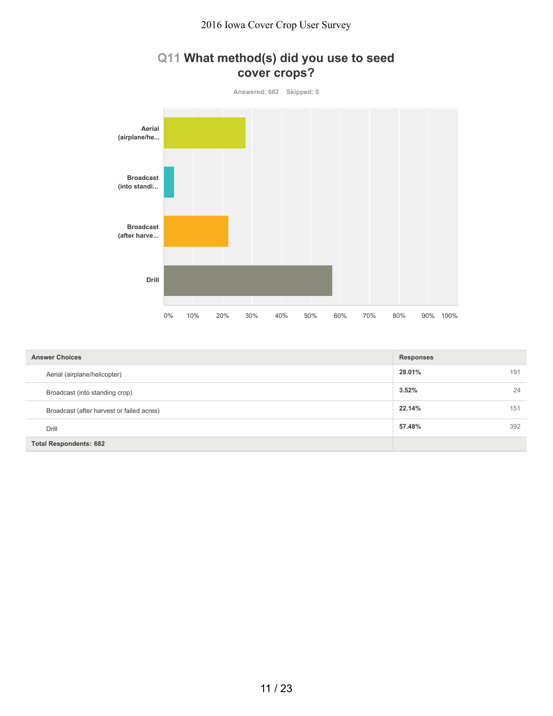# **Q11 What method(s) did you use to seed cover crops?**



| <b>Answer Choices</b>                     | <b>Responses</b> |     |
|-------------------------------------------|------------------|-----|
| Aerial (airplane/helicopter)              | 28.01%           | 191 |
| Broadcast (into standing crop)            | 3.52%            | 24  |
| Broadcast (after harvest or failed acres) | 22.14%           | 151 |
| Drill                                     | 57.48%           | 392 |
| <b>Total Respondents: 682</b>             |                  |     |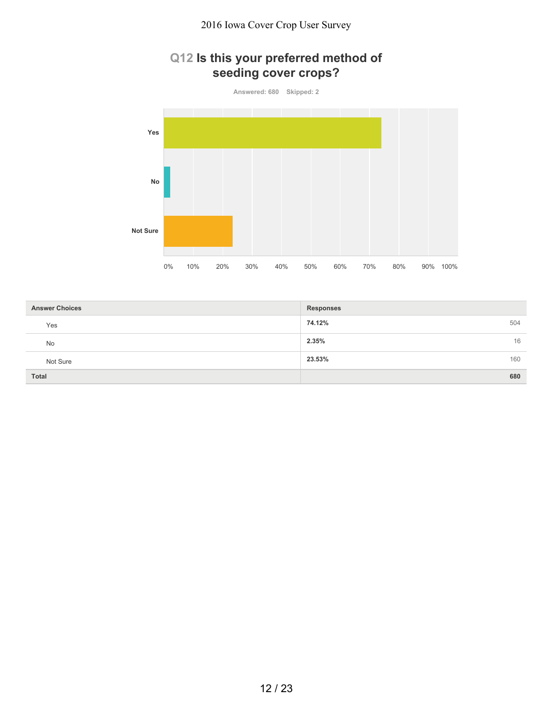# **Q12 Is this your preferred method of seeding cover crops?**

**Answered: 680 Skipped: 2**



| <b>Answer Choices</b> | <b>Responses</b> |
|-----------------------|------------------|
| Yes                   | 74.12%<br>504    |
| No                    | 2.35%<br>16      |
| Not Sure              | 23.53%<br>160    |
| <b>Total</b>          | 680              |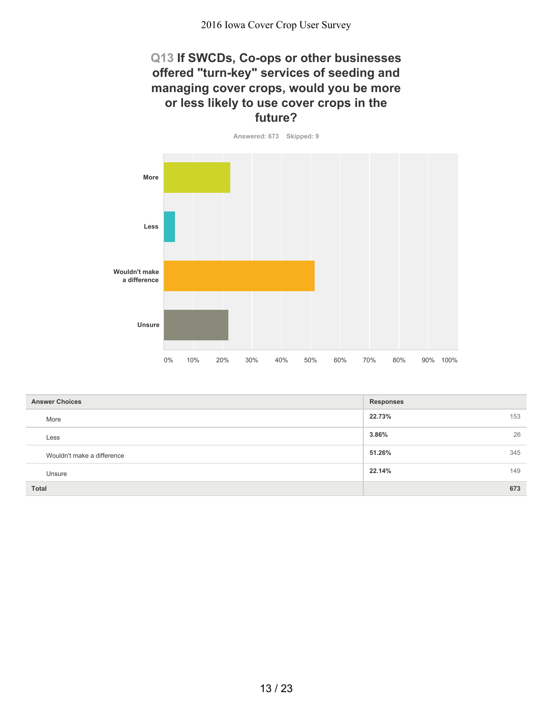### **Q13 If SWCDs, Co-ops or other businesses offered "turn-key" services of seeding and managing cover crops, would you be more or less likely to use cover crops in the future?**

**Answered: 673 Skipped: 9**

**More Less Wouldn't make a difference Unsure** 0% 10% 20% 30% 40% 50% 60% 70% 80% 90% 100%

| <b>Answer Choices</b>      | <b>Responses</b> |
|----------------------------|------------------|
| More                       | 22.73%<br>153    |
| Less                       | 26<br>3.86%      |
| Wouldn't make a difference | 51.26%<br>345    |
| Unsure                     | 22.14%<br>149    |
| <b>Total</b>               | 673              |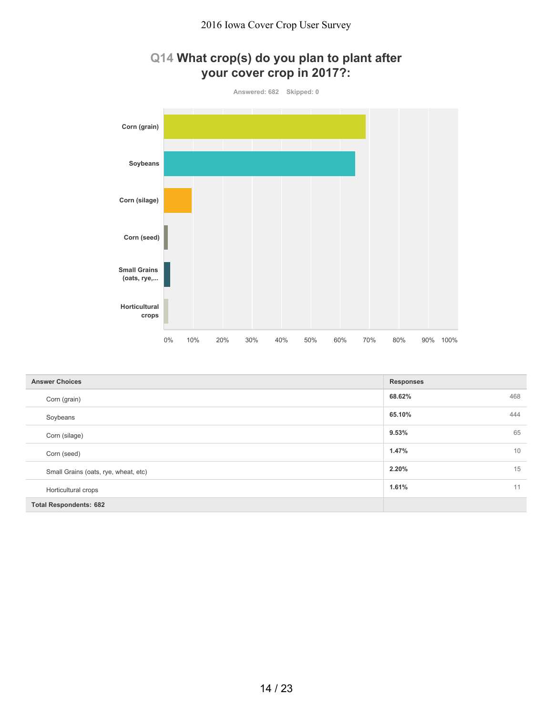# **Q14 What crop(s) do you plan to plant after your cover crop in 2017?:**



| <b>Answer Choices</b>                | <b>Responses</b> |
|--------------------------------------|------------------|
| Corn (grain)                         | 68.62%<br>468    |
| Soybeans                             | 65.10%<br>444    |
| Corn (silage)                        | 65<br>9.53%      |
| Corn (seed)                          | 10<br>1.47%      |
| Small Grains (oats, rye, wheat, etc) | 15<br>2.20%      |
| Horticultural crops                  | 1.61%<br>11      |
| <b>Total Respondents: 682</b>        |                  |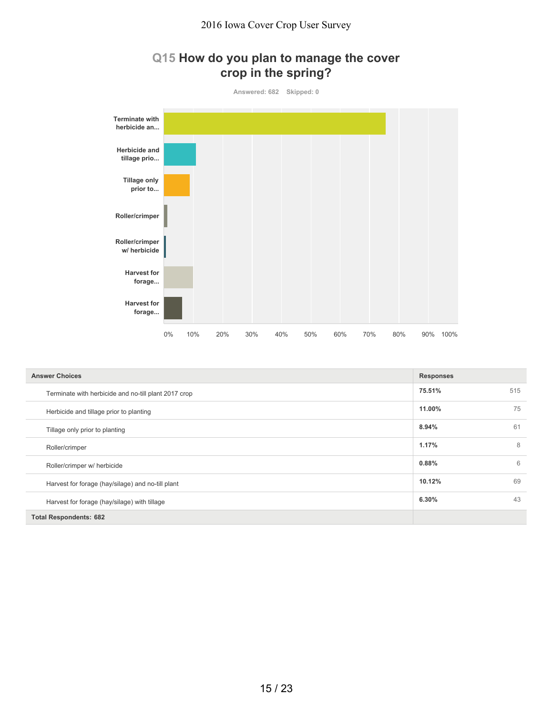#### **Q15 How do you plan to manage the cover crop in the spring?**

**Answered: 682 Skipped: 0 Terminate with herbicide an... Herbicide and tillage prio... Tillage only prior to... Roller/crimper Roller/crimper w/ herbicide Harvest for forage... Harvest for forage...** 0% 10% 20% 30% 40% 50% 60% 70% 80% 90% 100%

| <b>Answer Choices</b>                                | <b>Responses</b> |     |
|------------------------------------------------------|------------------|-----|
| Terminate with herbicide and no-till plant 2017 crop | 75.51%           | 515 |
| Herbicide and tillage prior to planting              | 11.00%           | 75  |
| Tillage only prior to planting                       | 8.94%            | 61  |
| Roller/crimper                                       | 1.17%            | 8   |
| Roller/crimper w/ herbicide                          | 0.88%            | 6   |
| Harvest for forage (hay/silage) and no-till plant    | 10.12%           | 69  |
| Harvest for forage (hay/silage) with tillage         | 6.30%            | 43  |
| <b>Total Respondents: 682</b>                        |                  |     |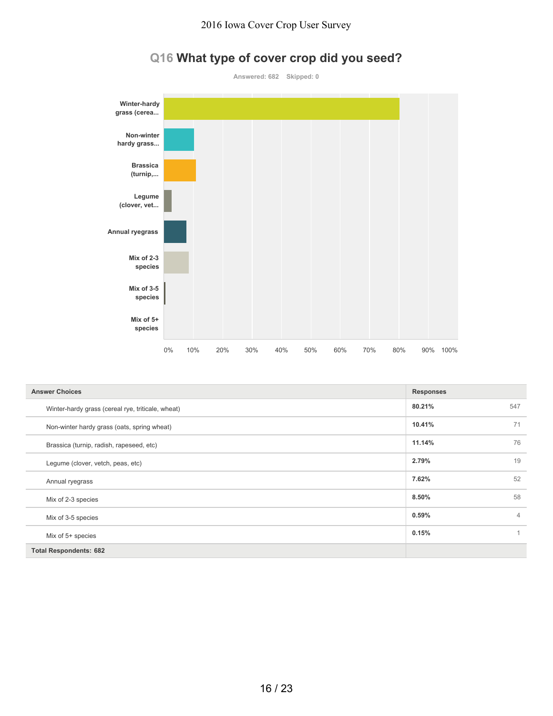

# **Q16 What type of cover crop did you seed?**

| <b>Answer Choices</b>                             | <b>Responses</b> |                |
|---------------------------------------------------|------------------|----------------|
| Winter-hardy grass (cereal rye, triticale, wheat) | 80.21%           | 547            |
| Non-winter hardy grass (oats, spring wheat)       | 10.41%           | 71             |
| Brassica (turnip, radish, rapeseed, etc)          | 11.14%           | 76             |
| Legume (clover, vetch, peas, etc)                 | 2.79%            | 19             |
| Annual ryegrass                                   | 7.62%            | 52             |
| Mix of 2-3 species                                | 8.50%            | 58             |
| Mix of 3-5 species                                | 0.59%            | $\overline{4}$ |
| Mix of 5+ species                                 | 0.15%            | 1              |
| <b>Total Respondents: 682</b>                     |                  |                |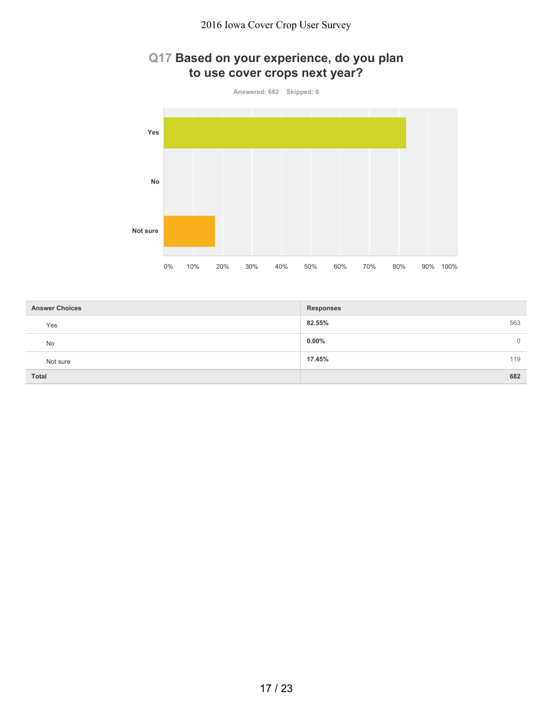# **Q17 Based on your experience, do you plan to use cover crops next year?**



| <b>Answer Choices</b> | <b>Responses</b>           |
|-----------------------|----------------------------|
| Yes                   | 82.55%<br>563              |
| No                    | $0.00\%$<br>$\overline{0}$ |
| Not sure              | 17.45%<br>119              |
| <b>Total</b>          | 682                        |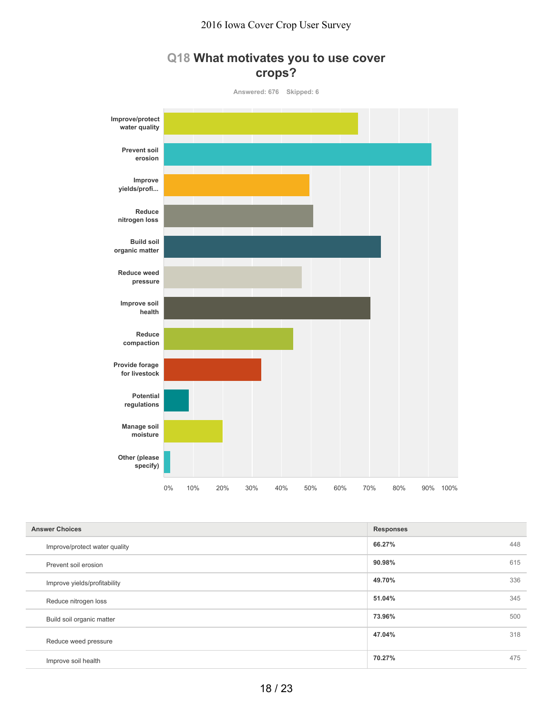#### **Q18 What motivates you to use cover crops?**

**Answered: 676 Skipped: 6 Improve/protect water quality Prevent soil erosion Improve yields/profi... Reduce nitrogen loss Build soil organic matter Reduce weed pressure Improve soil health Reduce compaction Provide forage for livestock Potential regulations Manage soil moisture Other (please specify)** 0% 10% 20% 30% 40% 50% 60% 70% 80% 90% 100%

| <b>Answer Choices</b>         | <b>Responses</b> |     |
|-------------------------------|------------------|-----|
| Improve/protect water quality | 66.27%           | 448 |
| Prevent soil erosion          | 90.98%           | 615 |
| Improve yields/profitability  | 49.70%           | 336 |
| Reduce nitrogen loss          | 51.04%           | 345 |
| Build soil organic matter     | 73.96%           | 500 |
| Reduce weed pressure          | 47.04%           | 318 |
| Improve soil health           | 70.27%           | 475 |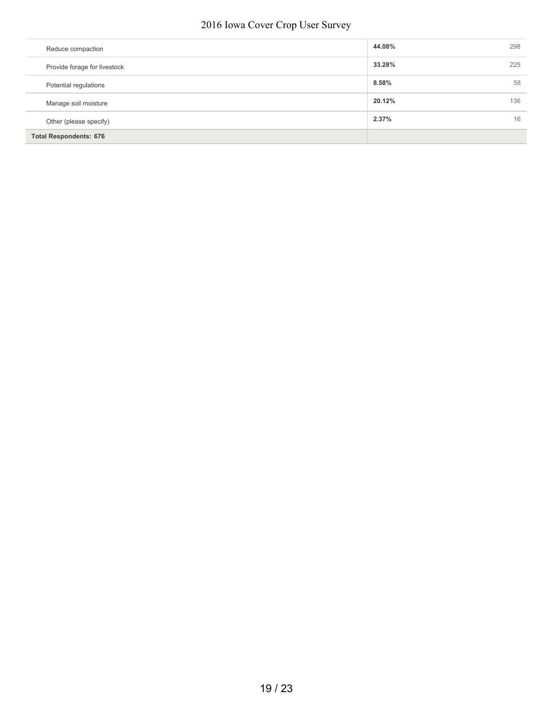| Reduce compaction             | 44.08% | 298 |
|-------------------------------|--------|-----|
| Provide forage for livestock  | 33.28% | 225 |
| Potential regulations         | 8.58%  | 58  |
| Manage soil moisture          | 20.12% | 136 |
| Other (please specify)        | 2.37%  | 16  |
| <b>Total Respondents: 676</b> |        |     |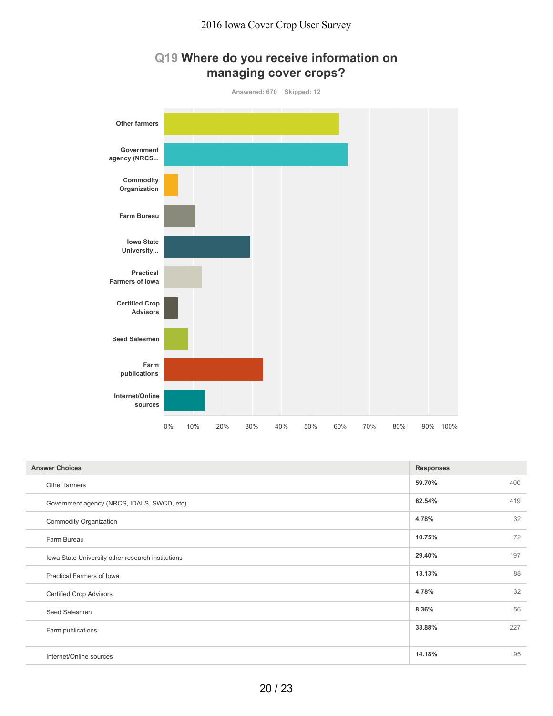



| <b>Answer Choices</b>                             | <b>Responses</b> |     |
|---------------------------------------------------|------------------|-----|
| Other farmers                                     | 59.70%           | 400 |
| Government agency (NRCS, IDALS, SWCD, etc)        | 62.54%           | 419 |
| <b>Commodity Organization</b>                     | 4.78%            | 32  |
| Farm Bureau                                       | 10.75%           | 72  |
| Iowa State University other research institutions | 29.40%           | 197 |
| Practical Farmers of Iowa                         | 13.13%           | 88  |
| <b>Certified Crop Advisors</b>                    | 4.78%            | 32  |
| Seed Salesmen                                     | 8.36%            | 56  |
| Farm publications                                 | 33.88%           | 227 |
|                                                   |                  |     |
| Internet/Online sources                           | 14.18%           | 95  |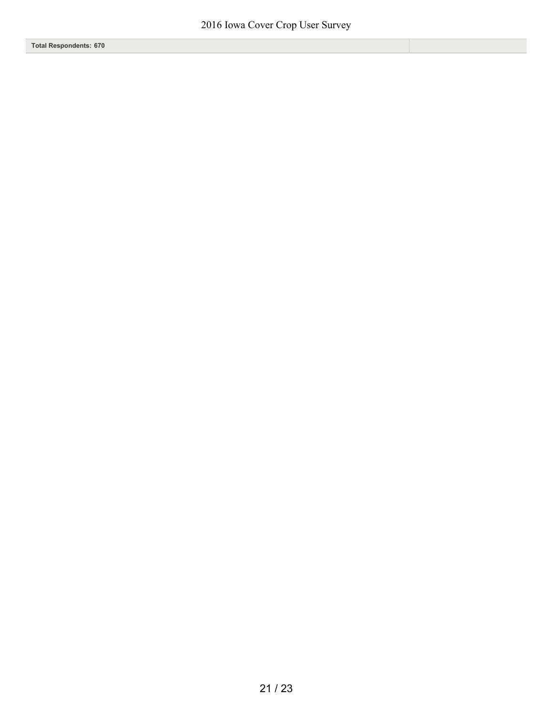**Total Respondents: 670**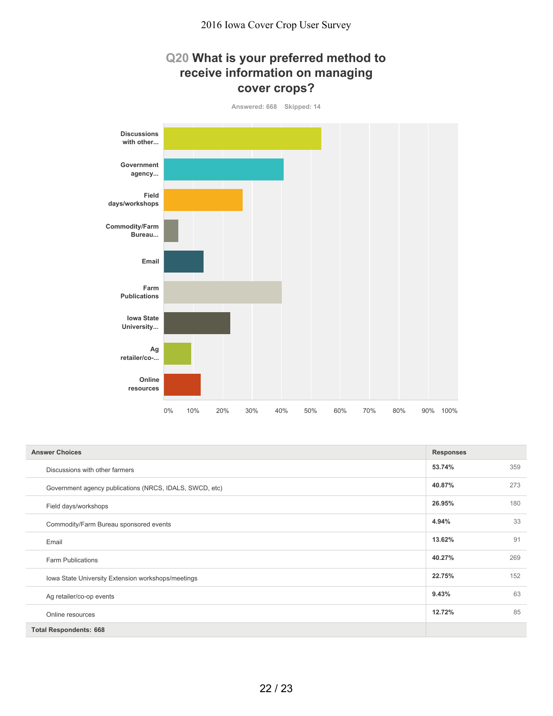### **Q20 What is your preferred method to receive information on managing cover crops?**



| <b>Answer Choices</b>                                   | <b>Responses</b> |     |
|---------------------------------------------------------|------------------|-----|
| Discussions with other farmers                          | 53.74%           | 359 |
| Government agency publications (NRCS, IDALS, SWCD, etc) | 40.87%           | 273 |
| Field days/workshops                                    | 26.95%           | 180 |
| Commodity/Farm Bureau sponsored events                  | 4.94%            | 33  |
| Email                                                   | 13.62%           | 91  |
| <b>Farm Publications</b>                                | 40.27%           | 269 |
| Iowa State University Extension workshops/meetings      | 22.75%           | 152 |
| Ag retailer/co-op events                                | 9.43%            | 63  |
| Online resources                                        | 12.72%           | 85  |
| <b>Total Respondents: 668</b>                           |                  |     |